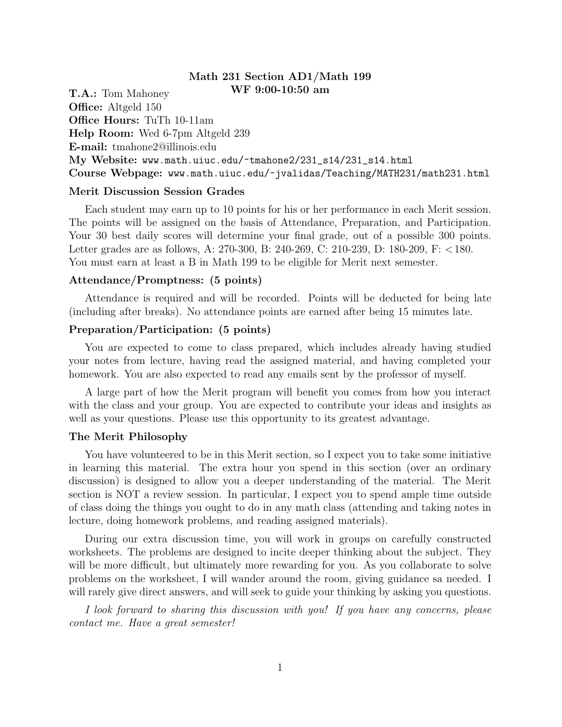# Math 231 Section AD1/Math 199

T.A.: Tom Mahoney WF 9:00-10:50 am Office: Altgeld 150 Office Hours: TuTh 10-11am Help Room: Wed 6-7pm Altgeld 239 E-mail: tmahone2@illinois.edu My Website: www.math.uiuc.edu/~tmahone2/231\_s14/231\_s14.html Course Webpage: www.math.uiuc.edu/~jvalidas/Teaching/MATH231/math231.html

## Merit Discussion Session Grades

Each student may earn up to 10 points for his or her performance in each Merit session. The points will be assigned on the basis of Attendance, Preparation, and Participation. Your 30 best daily scores will determine your final grade, out of a possible 300 points. Letter grades are as follows, A: 270-300, B: 240-269, C: 210-239, D: 180-209, F: <180. You must earn at least a B in Math 199 to be eligible for Merit next semester.

### Attendance/Promptness: (5 points)

Attendance is required and will be recorded. Points will be deducted for being late (including after breaks). No attendance points are earned after being 15 minutes late.

### Preparation/Participation: (5 points)

You are expected to come to class prepared, which includes already having studied your notes from lecture, having read the assigned material, and having completed your homework. You are also expected to read any emails sent by the professor of myself.

A large part of how the Merit program will benefit you comes from how you interact with the class and your group. You are expected to contribute your ideas and insights as well as your questions. Please use this opportunity to its greatest advantage.

### The Merit Philosophy

You have volunteered to be in this Merit section, so I expect you to take some initiative in learning this material. The extra hour you spend in this section (over an ordinary discussion) is designed to allow you a deeper understanding of the material. The Merit section is NOT a review session. In particular, I expect you to spend ample time outside of class doing the things you ought to do in any math class (attending and taking notes in lecture, doing homework problems, and reading assigned materials).

During our extra discussion time, you will work in groups on carefully constructed worksheets. The problems are designed to incite deeper thinking about the subject. They will be more difficult, but ultimately more rewarding for you. As you collaborate to solve problems on the worksheet, I will wander around the room, giving guidance sa needed. I will rarely give direct answers, and will seek to guide your thinking by asking you questions.

I look forward to sharing this discussion with you! If you have any concerns, please contact me. Have a great semester!